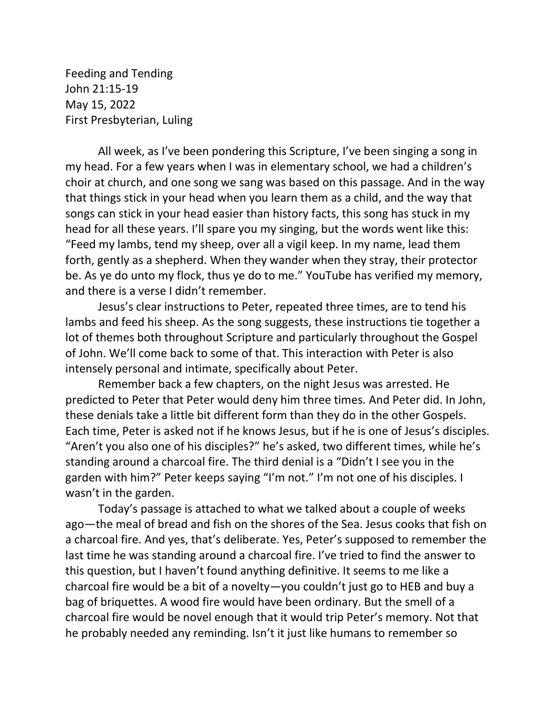Feeding and Tending John 21:15-19 May 15, 2022 First Presbyterian, Luling

All week, as I've been pondering this Scripture, I've been singing a song in my head. For a few years when I was in elementary school, we had a children's choir at church, and one song we sang was based on this passage. And in the way that things stick in your head when you learn them as a child, and the way that songs can stick in your head easier than history facts, this song has stuck in my head for all these years. I'll spare you my singing, but the words went like this: "Feed my lambs, tend my sheep, over all a vigil keep. In my name, lead them forth, gently as a shepherd. When they wander when they stray, their protector be. As ye do unto my flock, thus ye do to me." YouTube has verified my memory, and there is a verse I didn't remember.

Jesus's clear instructions to Peter, repeated three times, are to tend his lambs and feed his sheep. As the song suggests, these instructions tie together a lot of themes both throughout Scripture and particularly throughout the Gospel of John. We'll come back to some of that. This interaction with Peter is also intensely personal and intimate, specifically about Peter.

Remember back a few chapters, on the night Jesus was arrested. He predicted to Peter that Peter would deny him three times. And Peter did. In John, these denials take a little bit different form than they do in the other Gospels. Each time, Peter is asked not if he knows Jesus, but if he is one of Jesus's disciples. "Aren't you also one of his disciples?" he's asked, two different times, while he's standing around a charcoal fire. The third denial is a "Didn't I see you in the garden with him?" Peter keeps saying "I'm not." I'm not one of his disciples. I wasn't in the garden.

Today's passage is attached to what we talked about a couple of weeks ago—the meal of bread and fish on the shores of the Sea. Jesus cooks that fish on a charcoal fire. And yes, that's deliberate. Yes, Peter's supposed to remember the last time he was standing around a charcoal fire. I've tried to find the answer to this question, but I haven't found anything definitive. It seems to me like a charcoal fire would be a bit of a novelty—you couldn't just go to HEB and buy a bag of briquettes. A wood fire would have been ordinary. But the smell of a charcoal fire would be novel enough that it would trip Peter's memory. Not that he probably needed any reminding. Isn't it just like humans to remember so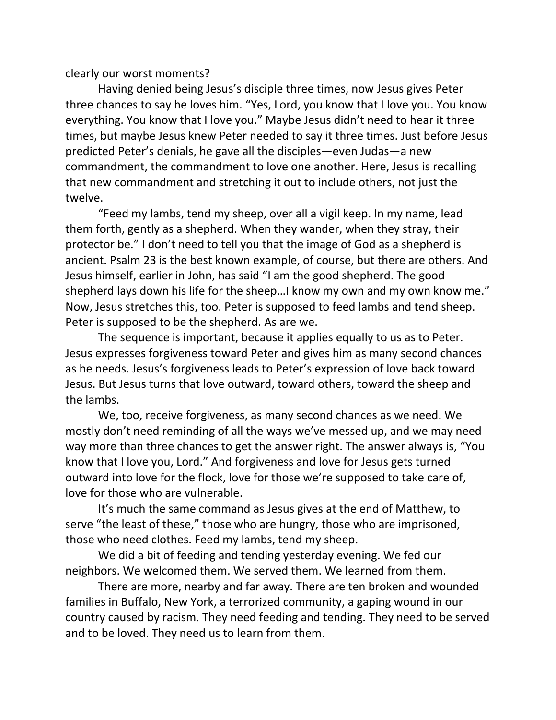clearly our worst moments?

Having denied being Jesus's disciple three times, now Jesus gives Peter three chances to say he loves him. "Yes, Lord, you know that I love you. You know everything. You know that I love you." Maybe Jesus didn't need to hear it three times, but maybe Jesus knew Peter needed to say it three times. Just before Jesus predicted Peter's denials, he gave all the disciples—even Judas—a new commandment, the commandment to love one another. Here, Jesus is recalling that new commandment and stretching it out to include others, not just the twelve.

"Feed my lambs, tend my sheep, over all a vigil keep. In my name, lead them forth, gently as a shepherd. When they wander, when they stray, their protector be." I don't need to tell you that the image of God as a shepherd is ancient. Psalm 23 is the best known example, of course, but there are others. And Jesus himself, earlier in John, has said "I am the good shepherd. The good shepherd lays down his life for the sheep…I know my own and my own know me." Now, Jesus stretches this, too. Peter is supposed to feed lambs and tend sheep. Peter is supposed to be the shepherd. As are we.

The sequence is important, because it applies equally to us as to Peter. Jesus expresses forgiveness toward Peter and gives him as many second chances as he needs. Jesus's forgiveness leads to Peter's expression of love back toward Jesus. But Jesus turns that love outward, toward others, toward the sheep and the lambs.

We, too, receive forgiveness, as many second chances as we need. We mostly don't need reminding of all the ways we've messed up, and we may need way more than three chances to get the answer right. The answer always is, "You know that I love you, Lord." And forgiveness and love for Jesus gets turned outward into love for the flock, love for those we're supposed to take care of, love for those who are vulnerable.

It's much the same command as Jesus gives at the end of Matthew, to serve "the least of these," those who are hungry, those who are imprisoned, those who need clothes. Feed my lambs, tend my sheep.

We did a bit of feeding and tending yesterday evening. We fed our neighbors. We welcomed them. We served them. We learned from them.

There are more, nearby and far away. There are ten broken and wounded families in Buffalo, New York, a terrorized community, a gaping wound in our country caused by racism. They need feeding and tending. They need to be served and to be loved. They need us to learn from them.